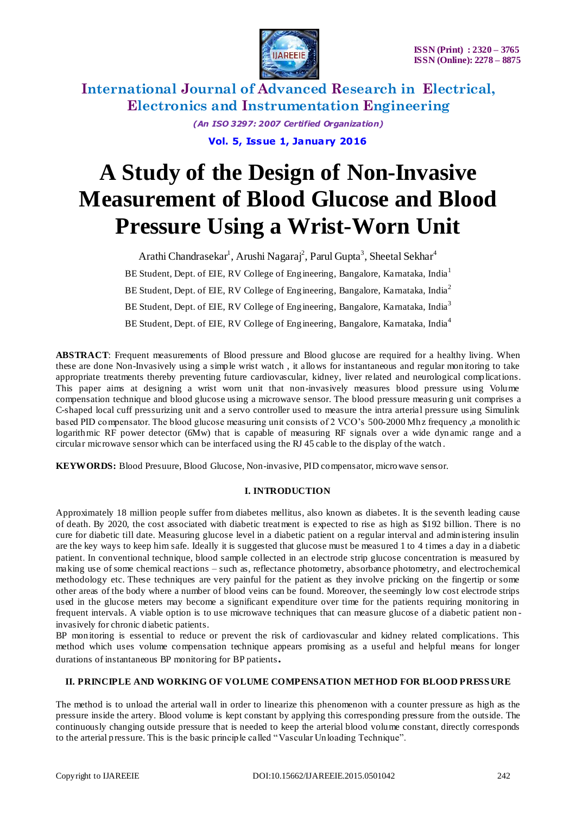

> *(An ISO 3297: 2007 Certified Organization)* **Vol. 5, Issue 1, January 2016**

# **A Study of the Design of Non-Invasive Measurement of Blood Glucose and Blood Pressure Using a Wrist-Worn Unit**

Arathi Chandrasekar<sup>1</sup>, Arushi Nagaraj<sup>2</sup>, Parul Gupta<sup>3</sup>, Sheetal Sekhar<sup>4</sup> BE Student, Dept. of EIE, RV College of Engineering, Bangalore, Karnataka, India<sup>1</sup> BE Student, Dept. of EIE, RV College of Engineering, Bangalore, Karnataka, India<sup>2</sup> BE Student, Dept. of EIE, RV College of Engineering, Bangalore, Karnataka, India<sup>3</sup> BE Student, Dept. of EIE, RV College of Engineering, Bangalore, Karnataka, India<sup>4</sup>

**ABSTRACT**: Frequent measurements of Blood pressure and Blood glucose are required for a healthy living. When these are done Non-Invasively using a simple wrist watch , it allows for instantaneous and regular monitoring to take appropriate treatments thereby preventing future cardiovascular, kidney, liver related and neurological complications. This paper aims at designing a wrist worn unit that non-invasively measures blood pressure using Volume compensation technique and blood glucose using a microwave sensor. The blood pressure measurin g unit comprises a C-shaped local cuff pressurizing unit and a servo controller used to measure the intra arterial pressure using Simulink based PID compensator. The blood glucose measuring unit consists of 2 VCO's 500-2000 Mhz frequency ,a monolithic logarithmic RF power detector (6Mw) that is capable of measuring RF signals over a wide dynamic range and a circular microwave sensor which can be interfaced using the RJ 45 cable to the display of the watch .

**KEYWORDS:** Blood Presuure, Blood Glucose, Non-invasive, PID compensator, microwave sensor.

### **I. INTRODUCTION**

Approximately 18 million people suffer from diabetes mellitus, also known as diabetes. It is the seventh leading cause of death. By 2020, the cost associated with diabetic treatment is expected to rise as high as \$192 billion. There is no cure for diabetic till date. Measuring glucose level in a diabetic patient on a regular interval and administering insulin are the key ways to keep him safe. Ideally it is suggested that glucose must be measured 1 to 4 times a day in a diabetic patient. In conventional technique, blood sample collected in an electrode strip glucose concentration is measured by making use of some chemical reactions – such as, reflectance photometry, absorbance photometry, and electrochemical methodology etc. These techniques are very painful for the patient as they involve pricking on the fingertip or some other areas of the body where a number of blood veins can be found. Moreover, the seemingly low cost electrode strips used in the glucose meters may become a significant expenditure over time for the patients requiring monitoring in frequent intervals. A viable option is to use microwave techniques that can measure glucose of a diabetic patient non invasively for chronic diabetic patients.

BP monitoring is essential to reduce or prevent the risk of cardiovascular and kidney related complications. This method which uses volume compensation technique appears promising as a useful and helpful means for longer durations of instantaneous BP monitoring for BP patients**.** 

### **II. PRINCIPLE AND WORKING OF VOLUME COMPENSATION METHOD FOR BLOOD PRESS URE**

The method is to unload the arterial wall in order to linearize this phenomenon with a counter pressure as high as the pressure inside the artery. Blood volume is kept constant by applying this corresponding pressure from the outside. The continuously changing outside pressure that is needed to keep the arterial blood volume constant, directly corresponds to the arterial pressure. This is the basic principle called "Vascular Unloading Technique".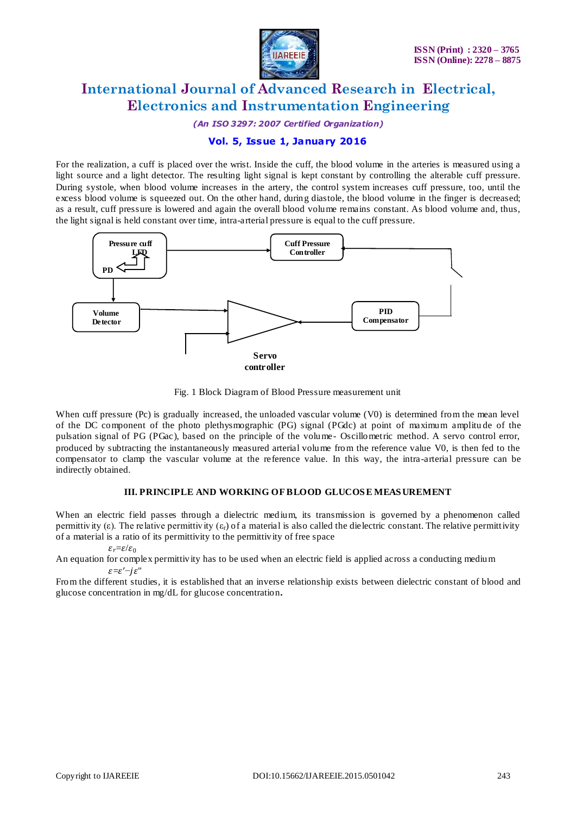

*(An ISO 3297: 2007 Certified Organization)*

### **Vol. 5, Issue 1, January 2016**

For the realization, a cuff is placed over the wrist. Inside the cuff, the blood volume in the arteries is measured using a light source and a light detector. The resulting light signal is kept constant by controlling the alterable cuff pressure. During [systole,](http://en.wikipedia.org/wiki/Systole_(medicine)) when blood volume increases in the artery, the control system increases cuff pressure, too, until the excess blood volume is squeezed out. On the other hand, during [diastole,](http://en.wikipedia.org/wiki/Diastole) the blood volume in the finger is decreased; as a result, cuff pressure is lowered and again the overall blood volume remains constant. As blood volume and, thus, the light signal is held constant over time, intra-arterial pressure is equal to the cuff pressure.



Fig. 1 Block Diagram of Blood Pressure measurement unit

When cuff pressure (Pc) is gradually increased, the unloaded vascular volume (V0) is determined from the mean level of the DC component of the photo plethysmographic (PG) signal (PGdc) at point of maximum amplitu de of the pulsation signal of PG (PGac), based on the principle of the volume- Oscillometric method. A servo control error, produced by subtracting the instantaneously measured arterial volume from the reference value V0, is then fed to the compensator to clamp the vascular volume at the reference value. In this way, the intra-arterial pressure can be indirectly obtained.

### **III. PRINCIPLE AND WORKING OF BLOOD GLUCOS E MEAS UREMENT**

When an electric field passes through a dielectric medium, its transmission is governed by a phenomenon called permittivity (ε). The relative permittivity  $(\epsilon_r)$  of a material is also called the dielectric constant. The relative permittivity of a material is a ratio of its permittivity to the permittivity of free space

 $\varepsilon_r = \varepsilon/\varepsilon_0$ 

An equation for complex permittivity has to be used when an electric field is applied across a conducting medium  $\varepsilon = \varepsilon' - j\varepsilon$ "

From the different studies, it is established that an inverse relationship exists between dielectric constant of blood and glucose concentration in mg/dL for glucose concentration**.**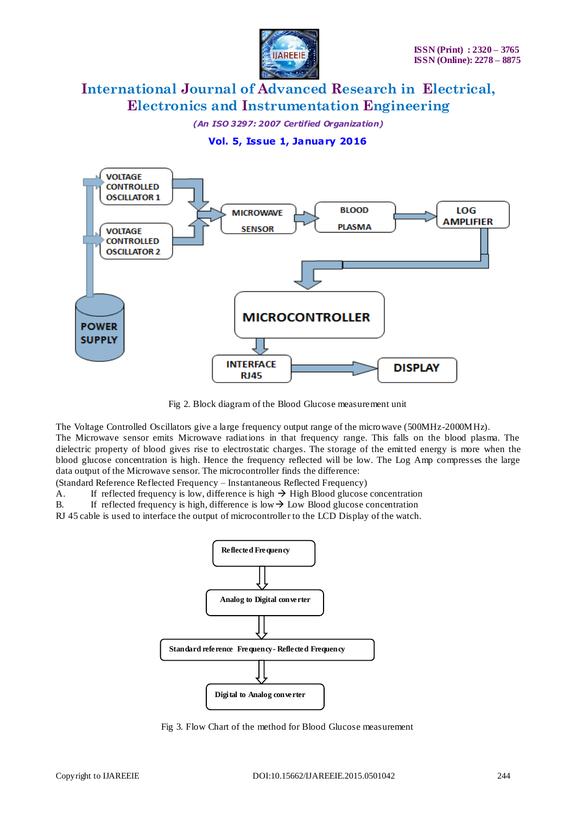

*(An ISO 3297: 2007 Certified Organization)*

### **Vol. 5, Issue 1, January 2016**



Fig 2. Block diagram of the Blood Glucose measurement unit

The Voltage Controlled Oscillators give a large frequency output range of the microwave (500MHz-2000MHz).

The Microwave sensor emits Microwave radiations in that frequency range. This falls on the blood plasma. The dielectric property of blood gives rise to electrostatic charges. The storage of the emitted energy is more when the blood glucose concentration is high. Hence the frequency reflected will be low. The Log Amp compresses the large data output of the Microwave sensor. The microcontroller finds the difference:

(Standard Reference Reflected Frequency – Instantaneous Reflected Frequency)

A. If reflected frequency is low, difference is high  $\rightarrow$  High Blood glucose concentration

B. If reflected frequency is high, difference is low  $\rightarrow$  Low Blood glucose concentration

RJ 45 cable is used to interface the output of microcontroller to the LCD Display of the watch.



Fig 3. Flow Chart of the method for Blood Glucose measurement